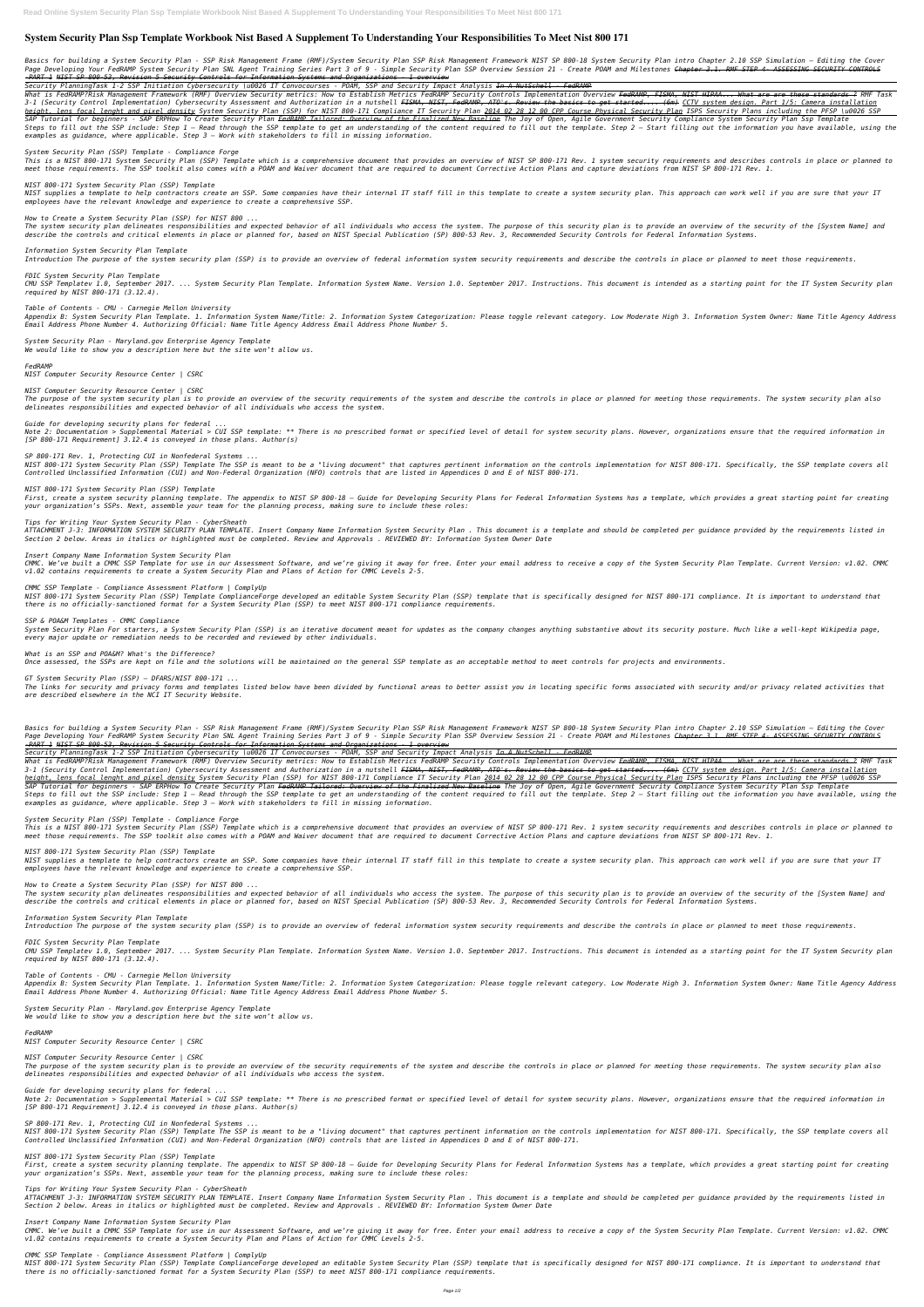# **System Security Plan Ssp Template Workbook Nist Based A Supplement To Understanding Your Responsibilities To Meet Nist 800 171**

Basics for building a System Security Plan - SSP Risk Management Frame (RMF)/System Security Plan SSP Risk Management Framework NIST SP 800-18 System Security Plan intro Chapter 2.10 SSP Simulation - Editing the Cover Page Developing Your FedRAMP System Security Plan SNL Agent Training Series Part 3 of 9 - Simple Security Plan SSP Overview Session 21 - Create POAM and Milestones Chapter 3.1. RMF STEP 4- ASSESSING SECURITY CONTROLS *-PART 1 NIST SP 800-53, Revision 5 Security Controls for Information Systems and Organizations - 1 overview*

*Security PlanningTask 1-2 SSP Initiation Cybersecurity \u0026 IT Convocourses - POAM, SSP and Security Impact Analysis In A NutSchell - FedRAMP*

What is FedRAMP?Risk Management Framework (RMF) Overview Security metrics: How to Establish Metrics FedRAMP Security Controls Implementation Overview <del>FedRAMP, FISMA, NIST HIPAA... What are are these standards ?</del> RMF Task 3-1 (Security Control Implementation) Cybersecurity Assessment and Authorization in a nutshell FISMA, NIST, FedRAMP, ATO's. Review the basics to get started.... (6m) CCTV system design. Part 1/5: Camera installation height, lens focal lenght and pixel density System Security Plan (SSP) for NIST 800-171 Compliance IT Security Plan 2014 02 28 12 00 CPP Course Physical Security Plan ISPS Security Plans including the PFSP \u0026 SSP SAP Tutorial for beginners - SAP ERPHow To Create Security Plan <del>FedRAMP Tailored: Overview of the Finalized New Baseline</del> The Joy of Open, Agile Government Security Compliance System Security Plan Ssp Template Steps to fill out the SSP include: Step 1 - Read through the SSP template to get an understanding of the content reguired to fill out the template. Step 2 - Start filling out the information you have available, using the *examples as guidance, where applicable. Step 3 – Work with stakeholders to fill in missing information.*

This is a NIST 800-171 System Security Plan (SSP) Template which is a comprehensive document that provides an overview of NIST SP 800-171 Rev. 1 system security requirements and describes controls in place or planned to *meet those requirements. The SSP toolkit also comes with a POAM and Waiver document that are required to document Corrective Action Plans and capture deviations from NIST SP 800-171 Rev. 1.*

### *System Security Plan (SSP) Template - Compliance Forge*

Appendix B: System Security Plan Template. 1. Information System Name/Title: 2. Information System Categorization: Please toggle relevant category. Low Moderate High 3. Information System Owner: Name Title Agency Address *Email Address Phone Number 4. Authorizing Official: Name Title Agency Address Email Address Phone Number 5.*

# *NIST 800-171 System Security Plan (SSP) Template*

*NIST supplies a template to help contractors create an SSP. Some companies have their internal IT staff fill in this template to create a system security plan. This approach can work well if you are sure that your IT employees have the relevant knowledge and experience to create a comprehensive SSP.*

NIST 800-171 System Security Plan (SSP) Template The SSP is meant to be a "living document" that captures pertinent information on the controls implementation for NIST 800-171. Specifically, the SSP template covers all *Controlled Unclassified Information (CUI) and Non-Federal Organization (NFO) controls that are listed in Appendices D and E of NIST 800-171.*

*How to Create a System Security Plan (SSP) for NIST 800 ...*

First, create a system security planning template. The appendix to NIST SP 800-18 - Guide for Developing Security Plans for Federal Information Systems has a template, which provides a great starting point for creating *your organization's SSPs. Next, assemble your team for the planning process, making sure to include these roles:*

*The system security plan delineates responsibilities and expected behavior of all individuals who access the system. The purpose of this security plan is to provide an overview of the security of the [System Name] and describe the controls and critical elements in place or planned for, based on NIST Special Publication (SP) 800-53 Rev. 3, Recommended Security Controls for Federal Information Systems.*

CMMC. We've built a CMMC SSP Template for use in our Assessment Software, and we're giving it away for free. Enter your email address to receive a copy of the System Security Plan Template. Current Version: v1.02. CMMC *v1.02 contains requirements to create a System Security Plan and Plans of Action for CMMC Levels 2-5.*

*Information System Security Plan Template Introduction The purpose of the system security plan (SSP) is to provide an overview of federal information system security requirements and describe the controls in place or planned to meet those requirements.*

*FDIC System Security Plan Template* CMU SSP Templatev 1.0, September 2017. ... System Security Plan Template. Information System Name. Version 1.0. September 2017. Instructions. This document is intended as a starting point for the IT System Security plan *required by NIST 800-171 (3.12.4).*

# *Table of Contents - CMU - Carnegie Mellon University*

Basics for building a System Security Plan - SSP Risk Management Frame (RMF)/System Security Plan SSP Risk Management Framework NIST SP 800-18 System Security Plan intro Chapter 2.10 SSP Simulation - Editing the Cover Page Developing Your FedRAMP System Security Plan SNL Agent Training Series Part 3 of 9 - Simple Security Plan SSP Overview Session 21 - Create POAM and Milestones Chapter 3.1. RMF STEP 4- ASSESSING SECURITY CONTROLS *-PART 1 NIST SP 800-53, Revision 5 Security Controls for Information Systems and Organizations - 1 overview*

*System Security Plan - Maryland.gov Enterprise Agency Template We would like to show you a description here but the site won't allow us.*

*FedRAMP*

*NIST Computer Security Resource Center | CSRC*

*NIST Computer Security Resource Center | CSRC*

*The purpose of the system security plan is to provide an overview of the security requirements of the system and describe the controls in place or planned for meeting those requirements. The system security plan also delineates responsibilities and expected behavior of all individuals who access the system.*

*Guide for developing security plans for federal ...*

What is FedRAMP?Risk Management Framework (RMF) Overview Security metrics: How to Establish Metrics FedRAMP Security Controls Implementation Overview <del>FedRAMP, FISMA, NIST HIPAA... What are are these standards ?</del> RMF Task 3-1 (Security Control Implementation) Cybersecurity Assessment and Authorization in a nutshell FISMA, NIST, FedRAMP, ATO's. Review the basics to get started.... (6m) CCTV system design. Part 1/5: Camera installation height, lens focal lenght and pixel density System Security Plan (SSP) for NIST 800-171 Compliance IT Security Plan 2014 02 28 12 00 CPP Course Physical Security Plan ISPS Security Plans including the PFSP \u0026 SSP SAP Tutorial for beginners - SAP ERPHow To Create Security Plan <del>FedRAMP Tailored: Overview of the Finalized New Baseline</del> The Joy of Open, Agile Government Security Compliance System Security Plan Ssp Template Steps to fill out the SSP include: Step 1 - Read through the SSP template to get an understanding of the content required to fill out the template. Step 2 - Start filling out the information you have available, using the *examples as guidance, where applicable. Step 3 – Work with stakeholders to fill in missing information.*

*Note 2: Documentation > Supplemental Material > CUI SSP template: \*\* There is no prescribed format or specified level of detail for system security plans. However, organizations ensure that the required information in [SP 800-171 Requirement] 3.12.4 is conveyed in those plans. Author(s)*

This is a NIST 800-171 System Security Plan (SSP) Template which is a comprehensive document that provides an overview of NIST SP 800-171 Rev. 1 system security requirements and describes controls in place or planned to *meet those requirements. The SSP toolkit also comes with a POAM and Waiver document that are required to document Corrective Action Plans and capture deviations from NIST SP 800-171 Rev. 1.*

*SP 800-171 Rev. 1, Protecting CUI in Nonfederal Systems ...*

*NIST 800-171 System Security Plan (SSP) Template*

CMU SSP Templatev 1.0, September 2017. ... System Security Plan Template. Information System Name. Version 1.0. September 2017. Instructions. This document is intended as a starting point for the IT System Security plan *required by NIST 800-171 (3.12.4).*

#### *Tips for Writing Your System Security Plan - CyberSheath*

*ATTACHMENT J-3: INFORMATION SYSTEM SECURITY PLAN TEMPLATE. Insert Company Name Information System Security Plan . This document is a template and should be completed per guidance provided by the requirements listed in Section 2 below. Areas in italics or highlighted must be completed. Review and Approvals . REVIEWED BY: Information System Owner Date*

#### *Insert Company Name Information System Security Plan*

NIST 800-171 System Security Plan (SSP) Template The SSP is meant to be a "living document" that captures pertinent information on the controls implementation for NIST 800-171. Specifically, the SSP template covers all *Controlled Unclassified Information (CUI) and Non-Federal Organization (NFO) controls that are listed in Appendices D and E of NIST 800-171.*

#### *CMMC SSP Template - Compliance Assessment Platform | ComplyUp*

First, create a system security planning template. The appendix to NIST SP 800-18 - Guide for Developing Security Plans for Federal Information Systems has a template, which provides a great starting point for creating *your organization's SSPs. Next, assemble your team for the planning process, making sure to include these roles:*

*NIST 800-171 System Security Plan (SSP) Template ComplianceForge developed an editable System Security Plan (SSP) template that is specifically designed for NIST 800-171 compliance. It is important to understand that there is no officially-sanctioned format for a System Security Plan (SSP) to meet NIST 800-171 compliance requirements.*

#### *SSP & POA&M Templates - CMMC Compliance*

CMMC. We've built a CMMC SSP Template for use in our Assessment Software, and we're giving it away for free. Enter your email address to receive a copy of the System Security Plan Template. Current Version: v1.02. CMMC *v1.02 contains requirements to create a System Security Plan and Plans of Action for CMMC Levels 2-5.*

*System Security Plan For starters, a System Security Plan (SSP) is an iterative document meant for updates as the company changes anything substantive about its security posture. Much like a well-kept Wikipedia page, every major update or remediation needs to be recorded and reviewed by other individuals.*

#### *What is an SSP and POA&M? What's the Difference?*

*Once assessed, the SSPs are kept on file and the solutions will be maintained on the general SSP template as an acceptable method to meet controls for projects and environments.*

#### *GT System Security Plan (SSP) – DFARS/NIST 800-171 ...*

*The links for security and privacy forms and templates listed below have been divided by functional areas to better assist you in locating specific forms associated with security and/or privacy related activities that are described elsewhere in the NCI IT Security Website.*

*Security PlanningTask 1-2 SSP Initiation Cybersecurity \u0026 IT Convocourses - POAM, SSP and Security Impact Analysis In A NutSchell - FedRAMP*

#### *System Security Plan (SSP) Template - Compliance Forge*

#### *NIST 800-171 System Security Plan (SSP) Template*

*NIST supplies a template to help contractors create an SSP. Some companies have their internal IT staff fill in this template to create a system security plan. This approach can work well if you are sure that your IT employees have the relevant knowledge and experience to create a comprehensive SSP.*

#### *How to Create a System Security Plan (SSP) for NIST 800 ...*

*The system security plan delineates responsibilities and expected behavior of all individuals who access the system. The purpose of this security plan is to provide an overview of the security of the [System Name] and describe the controls and critical elements in place or planned for, based on NIST Special Publication (SP) 800-53 Rev. 3, Recommended Security Controls for Federal Information Systems.*

*Information System Security Plan Template Introduction The purpose of the system security plan (SSP) is to provide an overview of federal information system security requirements and describe the controls in place or planned to meet those requirements.*

#### *FDIC System Security Plan Template*

#### *Table of Contents - CMU - Carnegie Mellon University*

Appendix B: System Security Plan Template. 1. Information System Name/Title: 2. Information System Categorization: Please toggle relevant category. Low Moderate High 3. Information System Owner: Name Title Agency Address

*Email Address Phone Number 4. Authorizing Official: Name Title Agency Address Email Address Phone Number 5.*

*System Security Plan - Maryland.gov Enterprise Agency Template We would like to show you a description here but the site won't allow us.*

*FedRAMP NIST Computer Security Resource Center | CSRC*

*NIST Computer Security Resource Center | CSRC*

*The purpose of the system security plan is to provide an overview of the security requirements of the system and describe the controls in place or planned for meeting those requirements. The system security plan also delineates responsibilities and expected behavior of all individuals who access the system.*

*Guide for developing security plans for federal ...*

*Note 2: Documentation > Supplemental Material > CUI SSP template: \*\* There is no prescribed format or specified level of detail for system security plans. However, organizations ensure that the required information in [SP 800-171 Requirement] 3.12.4 is conveyed in those plans. Author(s)*

*SP 800-171 Rev. 1, Protecting CUI in Nonfederal Systems ...*

*NIST 800-171 System Security Plan (SSP) Template*

*Tips for Writing Your System Security Plan - CyberSheath*

*ATTACHMENT J-3: INFORMATION SYSTEM SECURITY PLAN TEMPLATE. Insert Company Name Information System Security Plan . This document is a template and should be completed per guidance provided by the requirements listed in Section 2 below. Areas in italics or highlighted must be completed. Review and Approvals . REVIEWED BY: Information System Owner Date*

*Insert Company Name Information System Security Plan*

#### *CMMC SSP Template - Compliance Assessment Platform | ComplyUp*

*NIST 800-171 System Security Plan (SSP) Template ComplianceForge developed an editable System Security Plan (SSP) template that is specifically designed for NIST 800-171 compliance. It is important to understand that there is no officially-sanctioned format for a System Security Plan (SSP) to meet NIST 800-171 compliance requirements.*